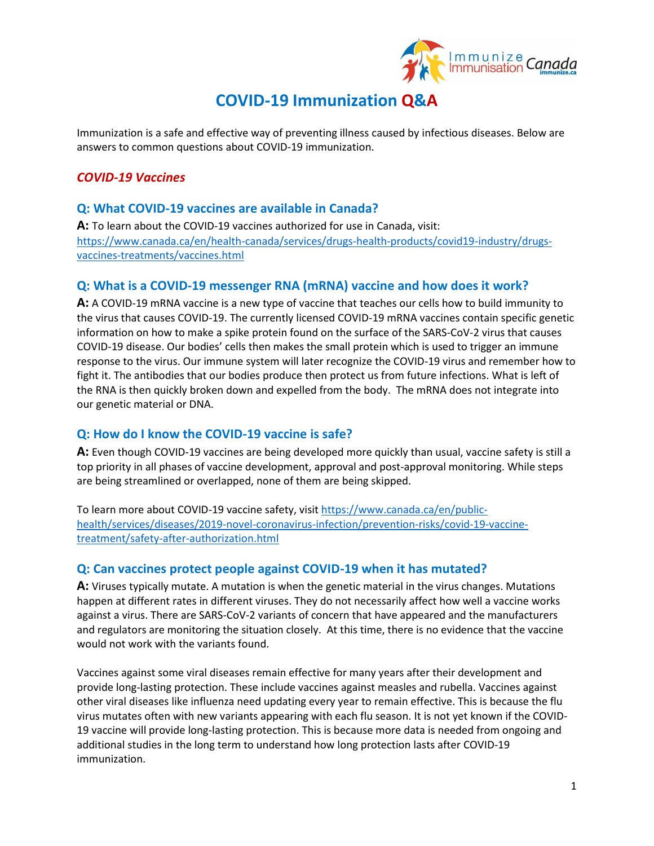

# **COVID-19 Immunization Q&A**

Immunization is a safe and effective way of preventing illness caused by infectious diseases. Below are answers to common questions about COVID-19 immunization.

## *COVID-19 Vaccines*

#### **Q: What COVID-19 vaccines are available in Canada?**

**A:** To learn about the COVID-19 vaccines authorized for use in Canada, visit: [https://www.canada.ca/en/health-canada/services/drugs-health-products/covid19-industry/drugs](https://www.canada.ca/en/health-canada/services/drugs-health-products/covid19-industry/drugs-vaccines-treatments/vaccines.html)[vaccines-treatments/vaccines.html](https://www.canada.ca/en/health-canada/services/drugs-health-products/covid19-industry/drugs-vaccines-treatments/vaccines.html)

## **Q: What is a COVID-19 messenger RNA (mRNA) vaccine and how does it work?**

**A:** A COVID-19 mRNA vaccine is a new type of vaccine that teaches our cells how to build immunity to the virus that causes COVID-19. The currently licensed COVID-19 mRNA vaccines contain specific genetic information on how to make a spike protein found on the surface of the SARS-CoV-2 virus that causes COVID-19 disease. Our bodies' cells then makes the small protein which is used to trigger an immune response to the virus. Our immune system will later recognize the COVID-19 virus and remember how to fight it. The antibodies that our bodies produce then protect us from future infections. What is left of the RNA is then quickly broken down and expelled from the body. The mRNA does not integrate into our genetic material or DNA.

## **Q: How do I know the COVID-19 vaccine is safe?**

**A:** Even though COVID-19 vaccines are being developed more quickly than usual, vaccine safety is still a top priority in all phases of vaccine development, approval and post-approval monitoring. While steps are being streamlined or overlapped, none of them are being skipped.

To learn more about COVID-19 vaccine safety, visi[t https://www.canada.ca/en/public](https://www.canada.ca/en/public-health/services/diseases/2019-novel-coronavirus-infection/prevention-risks/covid-19-vaccine-treatment/safety-after-authorization.html)[health/services/diseases/2019-novel-coronavirus-infection/prevention-risks/covid-19-vaccine](https://www.canada.ca/en/public-health/services/diseases/2019-novel-coronavirus-infection/prevention-risks/covid-19-vaccine-treatment/safety-after-authorization.html)[treatment/safety-after-authorization.html](https://www.canada.ca/en/public-health/services/diseases/2019-novel-coronavirus-infection/prevention-risks/covid-19-vaccine-treatment/safety-after-authorization.html)

#### **Q: Can vaccines protect people against COVID-19 when it has mutated?**

**A:** Viruses typically mutate. A mutation is when the genetic material in the virus changes. Mutations happen at different rates in different viruses. They do not necessarily affect how well a vaccine works against a virus. There are SARS-CoV-2 variants of concern that have appeared and the manufacturers and regulators are monitoring the situation closely. At this time, there is no evidence that the vaccine would not work with the variants found.

Vaccines against some viral diseases remain effective for many years after their development and provide long-lasting protection. These include vaccines against measles and rubella. Vaccines against other viral diseases like influenza need updating every year to remain effective. This is because the flu virus mutates often with new variants appearing with each flu season. It is not yet known if the COVID-19 vaccine will provide long-lasting protection. This is because more data is needed from ongoing and additional studies in the long term to understand how long protection lasts after COVID-19 immunization.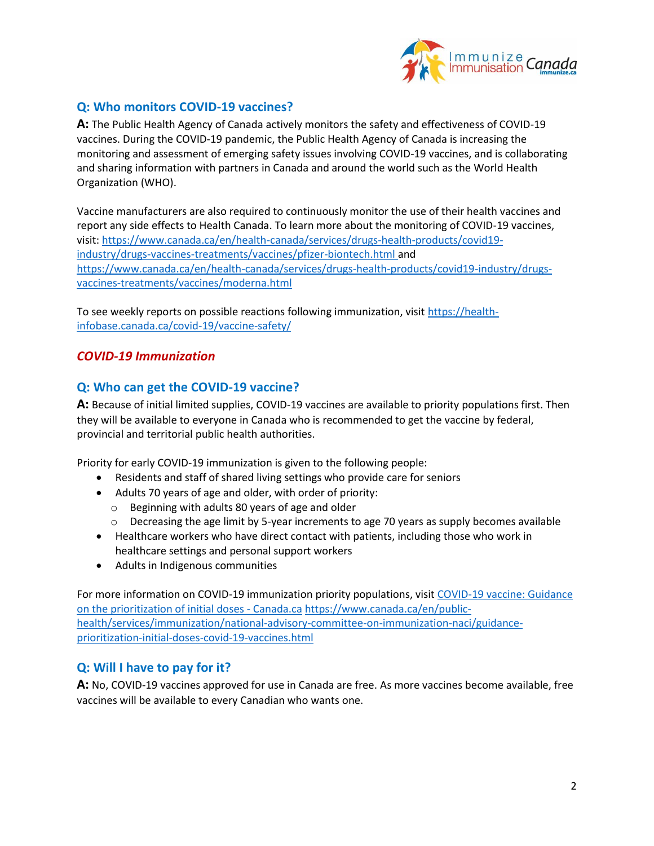

## **Q: Who monitors COVID-19 vaccines?**

**A:** The Public Health Agency of Canada actively monitors the safety and effectiveness of COVID-19 vaccines. During the COVID-19 pandemic, the Public Health Agency of Canada is increasing the monitoring and assessment of emerging safety issues involving COVID-19 vaccines, and is collaborating and sharing information with partners in Canada and around the world such as the World Health Organization (WHO).

Vaccine manufacturers are also required to continuously monitor the use of their health vaccines and report any side effects to Health Canada. To learn more about the monitoring of COVID-19 vaccines, visit[: https://www.canada.ca/en/health-canada/services/drugs-health-products/covid19](https://www.canada.ca/en/health-canada/services/drugs-health-products/covid19-industry/drugs-vaccines-treatments/vaccines/pfizer-biontech.html) [industry/drugs-vaccines-treatments/vaccines/pfizer-biontech.html](https://www.canada.ca/en/health-canada/services/drugs-health-products/covid19-industry/drugs-vaccines-treatments/vaccines/pfizer-biontech.html) and [https://www.canada.ca/en/health-canada/services/drugs-health-products/covid19-industry/drugs](https://www.canada.ca/en/health-canada/services/drugs-health-products/covid19-industry/drugs-vaccines-treatments/vaccines/moderna.html)[vaccines-treatments/vaccines/moderna.html](https://www.canada.ca/en/health-canada/services/drugs-health-products/covid19-industry/drugs-vaccines-treatments/vaccines/moderna.html)

To see weekly reports on possible reactions following immunization, visit [https://health](https://health-infobase.canada.ca/covid-19/vaccine-safety/)[infobase.canada.ca/covid-19/vaccine-safety/](https://health-infobase.canada.ca/covid-19/vaccine-safety/)

#### *COVID-19 Immunization*

## **Q: Who can get the COVID-19 vaccine?**

**A:** Because of initial limited supplies, COVID-19 vaccines are available to priority populations first. Then they will be available to everyone in Canada who is recommended to get the vaccine by federal, provincial and territorial public health authorities.

Priority for early COVID-19 immunization is given to the following people:

- Residents and staff of shared living settings who provide care for seniors
- Adults 70 years of age and older, with order of priority:
	- o Beginning with adults 80 years of age and older
	- $\circ$  Decreasing the age limit by 5-year increments to age 70 years as supply becomes available
- Healthcare workers who have direct contact with patients, including those who work in healthcare settings and personal support workers
- Adults in Indigenous communities

For more information on COVID-19 immunization priority populations, visit [COVID-19 vaccine: Guidance](https://www.canada.ca/en/public-health/services/immunization/national-advisory-committee-on-immunization-naci/guidance-prioritization-initial-doses-covid-19-vaccines.html)  [on the prioritization of initial doses -](https://www.canada.ca/en/public-health/services/immunization/national-advisory-committee-on-immunization-naci/guidance-prioritization-initial-doses-covid-19-vaccines.html) Canada.ca [https://www.canada.ca/en/public](https://www.canada.ca/en/public-health/services/immunization/national-advisory-committee-on-immunization-naci/guidance-prioritization-initial-doses-covid-19-vaccines.html)[health/services/immunization/national-advisory-committee-on-immunization-naci/guidance](https://www.canada.ca/en/public-health/services/immunization/national-advisory-committee-on-immunization-naci/guidance-prioritization-initial-doses-covid-19-vaccines.html)[prioritization-initial-doses-covid-19-vaccines.html](https://www.canada.ca/en/public-health/services/immunization/national-advisory-committee-on-immunization-naci/guidance-prioritization-initial-doses-covid-19-vaccines.html)

#### **Q: Will I have to pay for it?**

**A:** No, COVID-19 vaccines approved for use in Canada are free. As more vaccines become available, free vaccines will be available to every Canadian who wants one.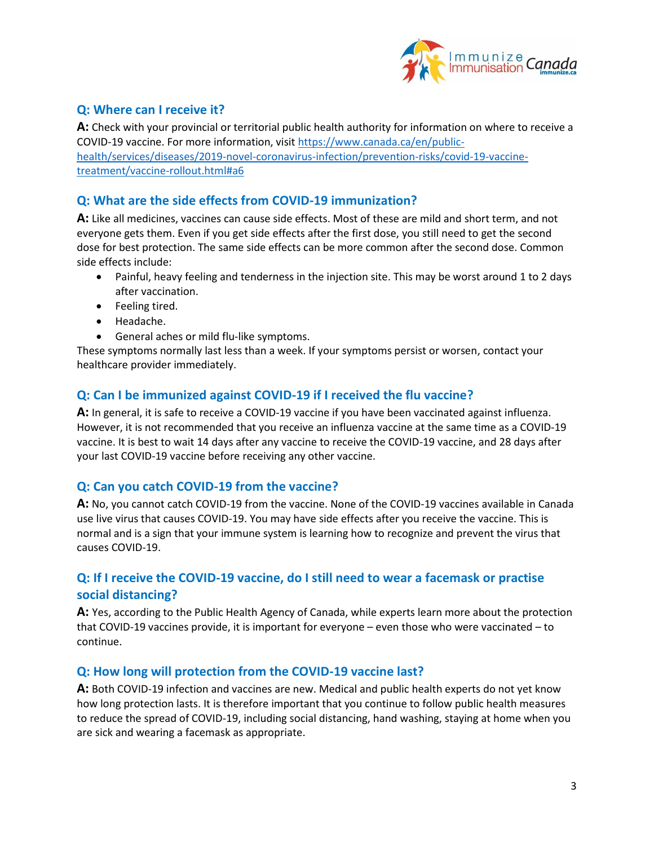

## **Q: Where can I receive it?**

**A:** Check with your provincial or territorial public health authority for information on where to receive a COVID-19 vaccine. For more information, visit [https://www.canada.ca/en/public](https://www.canada.ca/en/public-health/services/diseases/2019-novel-coronavirus-infection/prevention-risks/covid-19-vaccine-treatment/vaccine-rollout.html#a6)[health/services/diseases/2019-novel-coronavirus-infection/prevention-risks/covid-19-vaccine](https://www.canada.ca/en/public-health/services/diseases/2019-novel-coronavirus-infection/prevention-risks/covid-19-vaccine-treatment/vaccine-rollout.html#a6)[treatment/vaccine-rollout.html#a6](https://www.canada.ca/en/public-health/services/diseases/2019-novel-coronavirus-infection/prevention-risks/covid-19-vaccine-treatment/vaccine-rollout.html#a6)

#### **Q: What are the side effects from COVID-19 immunization?**

**A:** Like all medicines, vaccines can cause side effects. Most of these are mild and short term, and not everyone gets them. Even if you get side effects after the first dose, you still need to get the second dose for best protection. The same side effects can be more common after the second dose. Common side effects include:

- Painful, heavy feeling and tenderness in the injection site. This may be worst around 1 to 2 days after vaccination.
- Feeling tired.
- Headache.
- General aches or mild flu-like symptoms.

These symptoms normally last less than a week. If your symptoms persist or worsen, contact your healthcare provider immediately.

#### **Q: Can I be immunized against COVID-19 if I received the flu vaccine?**

**A:** In general, it is safe to receive a COVID-19 vaccine if you have been vaccinated against influenza. However, it is not recommended that you receive an influenza vaccine at the same time as a COVID-19 vaccine. It is best to wait 14 days after any vaccine to receive the COVID-19 vaccine, and 28 days after your last COVID-19 vaccine before receiving any other vaccine.

#### **Q: Can you catch COVID-19 from the vaccine?**

**A:** No, you cannot catch COVID-19 from the vaccine. None of the COVID-19 vaccines available in Canada use live virus that causes COVID-19. You may have side effects after you receive the vaccine. This is normal and is a sign that your immune system is learning how to recognize and prevent the virus that causes COVID-19.

## **Q: If I receive the COVID-19 vaccine, do I still need to wear a facemask or practise social distancing?**

**A:** Yes, according to the Public Health Agency of Canada, while experts learn more about the protection that COVID-19 vaccines provide, it is important for everyone – even those who were vaccinated – to continue.

#### **Q: How long will protection from the COVID-19 vaccine last?**

**A:** Both COVID-19 infection and vaccines are new. Medical and public health experts do not yet know how long protection lasts. It is therefore important that you continue to follow public health measures to reduce the spread of COVID-19, including social distancing, hand washing, staying at home when you are sick and wearing a facemask as appropriate.